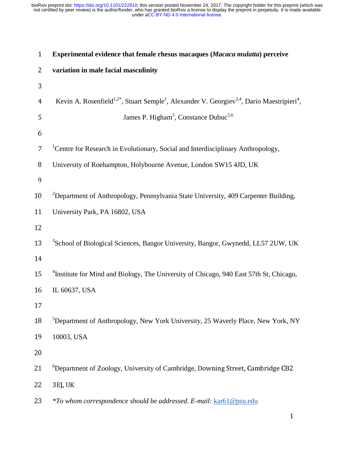| $\mathbf{1}$   | Experimental evidence that female rhesus macaques (Macaca mulatta) perceive                                                                 |  |  |  |  |  |  |  |  |
|----------------|---------------------------------------------------------------------------------------------------------------------------------------------|--|--|--|--|--|--|--|--|
| $\overline{2}$ | variation in male facial masculinity                                                                                                        |  |  |  |  |  |  |  |  |
| 3              |                                                                                                                                             |  |  |  |  |  |  |  |  |
| $\overline{4}$ | Kevin A. Rosenfield <sup>1,2*</sup> , Stuart Semple <sup>1</sup> , Alexander V. Georgiev <sup>3,4</sup> , Dario Maestripieri <sup>4</sup> , |  |  |  |  |  |  |  |  |
| 5              | James P. Higham <sup>5</sup> , Constance Dubuc <sup>5,6</sup>                                                                               |  |  |  |  |  |  |  |  |
| 6              |                                                                                                                                             |  |  |  |  |  |  |  |  |
| 7              | <sup>1</sup> Centre for Research in Evolutionary, Social and Interdisciplinary Anthropology,                                                |  |  |  |  |  |  |  |  |
| 8              | University of Roehampton, Holybourne Avenue, London SW15 4JD, UK                                                                            |  |  |  |  |  |  |  |  |
| 9              |                                                                                                                                             |  |  |  |  |  |  |  |  |
| 10             | <sup>2</sup> Department of Anthropology, Pennsylvania State University, 409 Carpenter Building,                                             |  |  |  |  |  |  |  |  |
| 11             | University Park, PA 16802, USA                                                                                                              |  |  |  |  |  |  |  |  |
| 12             |                                                                                                                                             |  |  |  |  |  |  |  |  |
| 13             | <sup>3</sup> School of Biological Sciences, Bangor University, Bangor, Gwynedd, LL57 2UW, UK                                                |  |  |  |  |  |  |  |  |
| 14             |                                                                                                                                             |  |  |  |  |  |  |  |  |
| 15             | <sup>4</sup> Institute for Mind and Biology, The University of Chicago, 940 East 57th St, Chicago,                                          |  |  |  |  |  |  |  |  |
| 16             | IL 60637, USA                                                                                                                               |  |  |  |  |  |  |  |  |
| 17             |                                                                                                                                             |  |  |  |  |  |  |  |  |
| 18             | <sup>5</sup> Department of Anthropology, New York University, 25 Waverly Place, New York, NY                                                |  |  |  |  |  |  |  |  |
| 19             | 10003, USA                                                                                                                                  |  |  |  |  |  |  |  |  |
| 20             |                                                                                                                                             |  |  |  |  |  |  |  |  |
| 21             | <sup>6</sup> Department of Zoology, University of Cambridge, Downing Street, Cambridge CB2                                                  |  |  |  |  |  |  |  |  |
| 22             | 3EJ, UK                                                                                                                                     |  |  |  |  |  |  |  |  |
| 23             | *To whom correspondence should be addressed. E-mail: kar61@psu.edu                                                                          |  |  |  |  |  |  |  |  |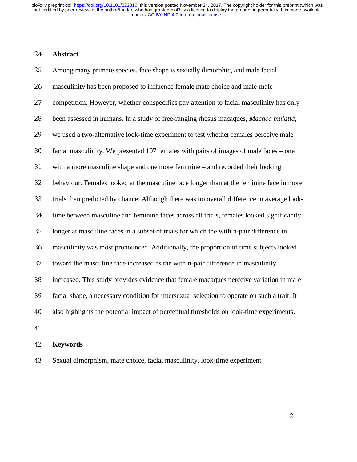#### <sup>24</sup>**Abstract**

<sup>25</sup>Among many primate species, face shape is sexually dimorphic, and male facial 26 masculinity has been proposed to influence female mate choice and male-male 27 competition. However, whether conspecifics pay attention to facial masculinity has only <sup>28</sup>been assessed in humans. In a study of free-ranging rhesus macaques, *Macaca mulatta*, 29 we used a two-alternative look-time experiment to test whether females perceive male 30 facial masculinity. We presented 107 females with pairs of images of male faces – one 31 with a more masculine shape and one more feminine – and recorded their looking 32 behaviour. Females looked at the masculine face longer than at the feminine face in more 33 trials than predicted by chance. Although there was no overall difference in average look-34 time between masculine and feminine faces across all trials, females looked significantly <sup>35</sup>longer at masculine faces in a subset of trials for which the within-pair difference in <sup>36</sup>masculinity was most pronounced. Additionally, the proportion of time subjects looked 37 toward the masculine face increased as the within-pair difference in masculinity 38 increased. This study provides evidence that female macaques perceive variation in male 39 facial shape, a necessary condition for intersexual selection to operate on such a trait. It 40 also highlights the potential impact of perceptual thresholds on look-time experiments.

41

## <sup>42</sup>**Keywords**

43 Sexual dimorphism, mate choice, facial masculinity, look-time experiment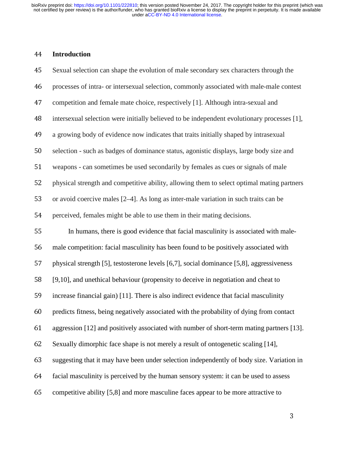## **Introduction**

| 45 | Sexual selection can shape the evolution of male secondary sex characters through the       |  |  |  |  |  |  |  |  |
|----|---------------------------------------------------------------------------------------------|--|--|--|--|--|--|--|--|
| 46 | processes of intra- or intersexual selection, commonly associated with male-male contest    |  |  |  |  |  |  |  |  |
| 47 | competition and female mate choice, respectively [1]. Although intra-sexual and             |  |  |  |  |  |  |  |  |
| 48 | intersexual selection were initially believed to be independent evolutionary processes [1], |  |  |  |  |  |  |  |  |
| 49 | a growing body of evidence now indicates that traits initially shaped by intrasexual        |  |  |  |  |  |  |  |  |
| 50 | selection - such as badges of dominance status, agonistic displays, large body size and     |  |  |  |  |  |  |  |  |
| 51 | weapons - can sometimes be used secondarily by females as cues or signals of male           |  |  |  |  |  |  |  |  |
| 52 | physical strength and competitive ability, allowing them to select optimal mating partners  |  |  |  |  |  |  |  |  |
| 53 | or avoid coercive males [2-4]. As long as inter-male variation in such traits can be        |  |  |  |  |  |  |  |  |
| 54 | perceived, females might be able to use them in their mating decisions.                     |  |  |  |  |  |  |  |  |
| 55 | In humans, there is good evidence that facial masculinity is associated with male-          |  |  |  |  |  |  |  |  |
| 56 | male competition: facial masculinity has been found to be positively associated with        |  |  |  |  |  |  |  |  |
| 57 | physical strength [5], testosterone levels [6,7], social dominance [5,8], aggressiveness    |  |  |  |  |  |  |  |  |
| 58 | [9,10], and unethical behaviour (propensity to deceive in negotiation and cheat to          |  |  |  |  |  |  |  |  |
| 59 | increase financial gain) [11]. There is also indirect evidence that facial masculinity      |  |  |  |  |  |  |  |  |
| 60 | predicts fitness, being negatively associated with the probability of dying from contact    |  |  |  |  |  |  |  |  |
| 61 | aggression [12] and positively associated with number of short-term mating partners [13].   |  |  |  |  |  |  |  |  |
| 62 | Sexually dimorphic face shape is not merely a result of ontogenetic scaling [14],           |  |  |  |  |  |  |  |  |
| 63 | suggesting that it may have been under selection independently of body size. Variation in   |  |  |  |  |  |  |  |  |
| 64 | facial masculinity is perceived by the human sensory system: it can be used to assess       |  |  |  |  |  |  |  |  |
| 65 | competitive ability [5,8] and more masculine faces appear to be more attractive to          |  |  |  |  |  |  |  |  |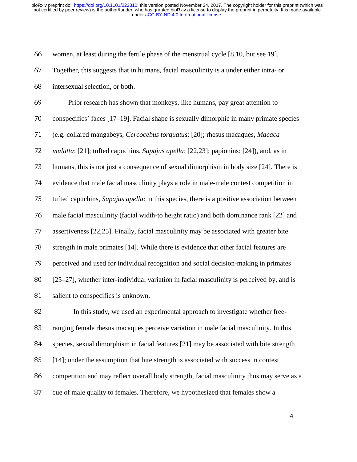66 women, at least during the fertile phase of the menstrual cycle [8,10, but see 19].

<sup>67</sup>Together, this suggests that in humans, facial masculinity is a under either intra- or

68 intersexual selection, or both.

69 Prior research has shown that monkeys, like humans, pay great attention to 70 conspecifics' faces [17–19]. Facial shape is sexually dimorphic in many primate species <sup>71</sup>(e.g. collared mangabeys, *Cercocebus torquatus*: [20]; rhesus macaques, *Macaca*  <sup>72</sup>*mulatta*: [21]; tufted capuchins, *Sapajus apella*: [22,23]; papionins: [24]), and, as in 73 humans, this is not just a consequence of sexual dimorphism in body size [24]. There is 74 evidence that male facial masculinity plays a role in male-male contest competition in 75 tufted capuchins, *Sapajus apella*: in this species, there is a positive association between 76 male facial masculinity (facial width-to height ratio) and both dominance rank [22] and 77 assertiveness [22,25]. Finally, facial masculinity may be associated with greater bite 78 strength in male primates [14]. While there is evidence that other facial features are 79 perceived and used for individual recognition and social decision-making in primates 80 [25–27], whether inter-individual variation in facial masculinity is perceived by, and is 81 salient to conspecifics is unknown.

82 In this study, we used an experimental approach to investigate whether free-83 ranging female rhesus macaques perceive variation in male facial masculinity. In this 84 species, sexual dimorphism in facial features [21] may be associated with bite strength <sup>85</sup>[14]; under the assumption that bite strength is associated with success in contest 86 competition and may reflect overall body strength, facial masculinity thus may serve as a 87 cue of male quality to females. Therefore, we hypothesized that females show a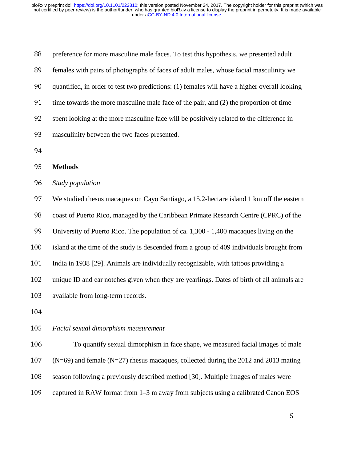| 88 | preference for more masculine male faces. To test this hypothesis, we presented adult        |
|----|----------------------------------------------------------------------------------------------|
| 89 | females with pairs of photographs of faces of adult males, whose facial masculinity we       |
| 90 | quantified, in order to test two predictions: (1) females will have a higher overall looking |
| 91 | time towards the more masculine male face of the pair, and $(2)$ the proportion of time      |
| 92 | spent looking at the more masculine face will be positively related to the difference in     |
| 93 | masculinity between the two faces presented.                                                 |
| 94 |                                                                                              |
|    |                                                                                              |

### <sup>96</sup>*Study population*

<sup>97</sup>We studied rhesus macaques on Cayo Santiago, a 15.2-hectare island 1 km off the eastern 98 coast of Puerto Rico, managed by the Caribbean Primate Research Centre (CPRC) of the 99 University of Puerto Rico. The population of ca. 1,300 - 1,400 macaques living on the 100 island at the time of the study is descended from a group of 409 individuals brought from 101 India in 1938 [29]. Animals are individually recognizable, with tattoos providing a 102 unique ID and ear notches given when they are yearlings. Dates of birth of all animals are 103 available from long-term records.

104

#### <sup>105</sup>*Facial sexual dimorphism measurement*

106 To quantify sexual dimorphism in face shape, we measured facial images of male 107 (N=69) and female (N=27) rhesus macaques, collected during the 2012 and 2013 mating 108 season following a previously described method [30]. Multiple images of males were 109 captured in RAW format from  $1-3$  m away from subjects using a calibrated Canon EOS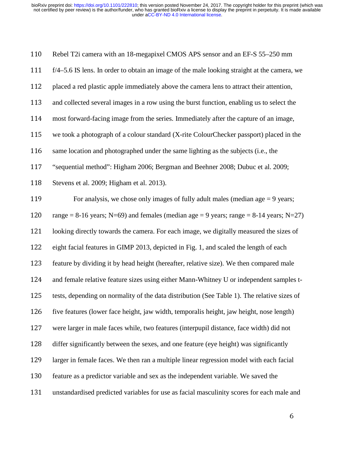| 110 | Rebel T2i camera with an 18-megapixel CMOS APS sensor and an EF-S 55-250 mm                 |  |  |  |  |  |  |  |
|-----|---------------------------------------------------------------------------------------------|--|--|--|--|--|--|--|
| 111 | f/4–5.6 IS lens. In order to obtain an image of the male looking straight at the camera, we |  |  |  |  |  |  |  |
| 112 | placed a red plastic apple immediately above the camera lens to attract their attention,    |  |  |  |  |  |  |  |
| 113 | and collected several images in a row using the burst function, enabling us to select the   |  |  |  |  |  |  |  |
| 114 | most forward-facing image from the series. Immediately after the capture of an image,       |  |  |  |  |  |  |  |
| 115 | we took a photograph of a colour standard (X-rite ColourChecker passport) placed in the     |  |  |  |  |  |  |  |
| 116 | same location and photographed under the same lighting as the subjects (i.e., the           |  |  |  |  |  |  |  |
| 117 | "sequential method": Higham 2006; Bergman and Beehner 2008; Dubuc et al. 2009;              |  |  |  |  |  |  |  |
| 118 | Stevens et al. 2009; Higham et al. 2013).                                                   |  |  |  |  |  |  |  |
| 119 | For analysis, we chose only images of fully adult males (median age $= 9$ years;            |  |  |  |  |  |  |  |
| 120 | range = $8-16$ years; N=69) and females (median age = 9 years; range = $8-14$ years; N=27)  |  |  |  |  |  |  |  |
| 121 | looking directly towards the camera. For each image, we digitally measured the sizes of     |  |  |  |  |  |  |  |
| 122 | eight facial features in GIMP 2013, depicted in Fig. 1, and scaled the length of each       |  |  |  |  |  |  |  |
| 123 | feature by dividing it by head height (hereafter, relative size). We then compared male     |  |  |  |  |  |  |  |
| 124 | and female relative feature sizes using either Mann-Whitney U or independent samples t-     |  |  |  |  |  |  |  |
| 125 | tests, depending on normality of the data distribution (See Table 1). The relative sizes of |  |  |  |  |  |  |  |
| 126 | five features (lower face height, jaw width, temporalis height, jaw height, nose length)    |  |  |  |  |  |  |  |
| 127 | were larger in male faces while, two features (interpupil distance, face width) did not     |  |  |  |  |  |  |  |
| 128 | differ significantly between the sexes, and one feature (eye height) was significantly      |  |  |  |  |  |  |  |
| 129 | larger in female faces. We then ran a multiple linear regression model with each facial     |  |  |  |  |  |  |  |
| 130 | feature as a predictor variable and sex as the independent variable. We saved the           |  |  |  |  |  |  |  |
| 131 | unstandardised predicted variables for use as facial masculinity scores for each male and   |  |  |  |  |  |  |  |
|     |                                                                                             |  |  |  |  |  |  |  |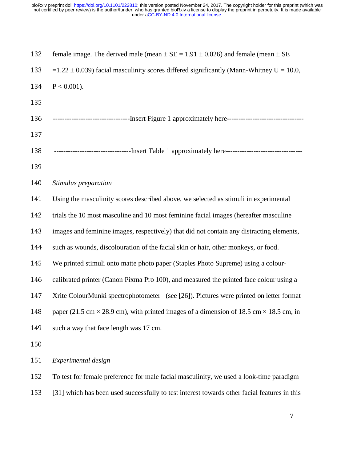| 132 | female image. The derived male (mean $\pm$ SE = 1.91 $\pm$ 0.026) and female (mean $\pm$ SE             |
|-----|---------------------------------------------------------------------------------------------------------|
| 133 | $=1.22 \pm 0.039$ ) facial masculinity scores differed significantly (Mann-Whitney U = 10.0,            |
| 134 | $P < 0.001$ ).                                                                                          |
| 135 |                                                                                                         |
| 136 | -----------------------------------Insert Figure 1 approximately here---------------------------------  |
| 137 |                                                                                                         |
| 138 | ------------------------------------Insert Table 1 approximately here---------------------------------- |
| 139 |                                                                                                         |
| 140 | Stimulus preparation                                                                                    |
| 141 | Using the masculinity scores described above, we selected as stimuli in experimental                    |
| 142 | trials the 10 most masculine and 10 most feminine facial images (hereafter masculine                    |
| 143 | images and feminine images, respectively) that did not contain any distracting elements,                |
| 144 | such as wounds, discolouration of the facial skin or hair, other monkeys, or food.                      |
| 145 | We printed stimuli onto matte photo paper (Staples Photo Supreme) using a colour-                       |
| 146 | calibrated printer (Canon Pixma Pro 100), and measured the printed face colour using a                  |
| 147 | Xrite ColourMunki spectrophotometer (see [26]). Pictures were printed on letter format                  |
| 148 | paper (21.5 cm $\times$ 28.9 cm), with printed images of a dimension of 18.5 cm $\times$ 18.5 cm, in    |
| 149 | such a way that face length was 17 cm.                                                                  |
| 150 |                                                                                                         |
| 151 | Experimental design                                                                                     |
| 152 | To test for female preference for male facial masculinity, we used a look-time paradigm                 |
| 153 | [31] which has been used successfully to test interest towards other facial features in this            |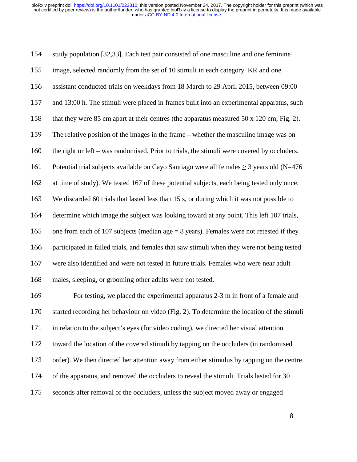154 study population [32,33]. Each test pair consisted of one masculine and one feminine 155 image, selected randomly from the set of 10 stimuli in each category. KR and one 156 assistant conducted trials on weekdays from 18 March to 29 April 2015, between 09:00 157 and 13:00 h. The stimuli were placed in frames built into an experimental apparatus, such 158 that they were 85 cm apart at their centres (the apparatus measured 50 x 120 cm; Fig. 2). 159 The relative position of the images in the frame – whether the masculine image was on 160 the right or left – was randomised. Prior to trials, the stimuli were covered by occluders. 161 Potential trial subjects available on Cayo Santiago were all females  $\geq$  3 years old (N=476 162 at time of study). We tested 167 of these potential subjects, each being tested only once. 163 We discarded 60 trials that lasted less than 15 s, or during which it was not possible to 164 determine which image the subject was looking toward at any point. This left 107 trials, 165 one from each of 107 subjects (median age  $= 8$  years). Females were not retested if they 166 participated in failed trials, and females that saw stimuli when they were not being tested 167 were also identified and were not tested in future trials. Females who were near adult 168 males, sleeping, or grooming other adults were not tested.

169 For testing, we placed the experimental apparatus 2-3 m in front of a female and 170 started recording her behaviour on video (Fig. 2). To determine the location of the stimuli  $171$  in relation to the subject's eyes (for video coding), we directed her visual attention 172 toward the location of the covered stimuli by tapping on the occluders (in randomised 173 order). We then directed her attention away from either stimulus by tapping on the centre 174 of the apparatus, and removed the occluders to reveal the stimuli. Trials lasted for 30 175 seconds after removal of the occluders, unless the subject moved away or engaged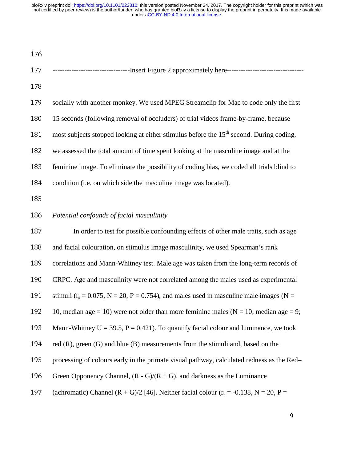| 177 | -----------------------------------Insert Figure 2 approximately here---------------------------------- |
|-----|---------------------------------------------------------------------------------------------------------|
| 178 |                                                                                                         |
| 179 | socially with another monkey. We used MPEG Streamclip for Mac to code only the first                    |
| 180 | 15 seconds (following removal of occluders) of trial videos frame-by-frame, because                     |
| 181 | most subjects stopped looking at either stimulus before the 15 <sup>th</sup> second. During coding,     |
| 182 | we assessed the total amount of time spent looking at the masculine image and at the                    |
| 183 | feminine image. To eliminate the possibility of coding bias, we coded all trials blind to               |
| 184 | condition (i.e. on which side the masculine image was located).                                         |
| 185 |                                                                                                         |
| 186 | Potential confounds of facial masculinity                                                               |
| 187 | In order to test for possible confounding effects of other male traits, such as age                     |
| 188 | and facial colouration, on stimulus image masculinity, we used Spearman's rank                          |
| 189 | correlations and Mann-Whitney test. Male age was taken from the long-term records of                    |
| 190 | CRPC. Age and masculinity were not correlated among the males used as experimental                      |
| 191 | stimuli ( $r_s = 0.075$ , N = 20, P = 0.754), and males used in masculine male images (N =              |
| 192 | 10, median age = 10) were not older than more feminine males ( $N = 10$ ; median age = 9;               |
| 193 | Mann-Whitney $U = 39.5$ , $P = 0.421$ ). To quantify facial colour and luminance, we took               |
| 194 | red (R), green (G) and blue (B) measurements from the stimuli and, based on the                         |
| 195 | processing of colours early in the primate visual pathway, calculated redness as the Red–               |
| 196 | Green Opponency Channel, $(R - G)/(R + G)$ , and darkness as the Luminance                              |
| 197 | (achromatic) Channel (R + G)/2 [46]. Neither facial colour ( $r_s = -0.138$ , N = 20, P =               |
|     | 9                                                                                                       |
|     |                                                                                                         |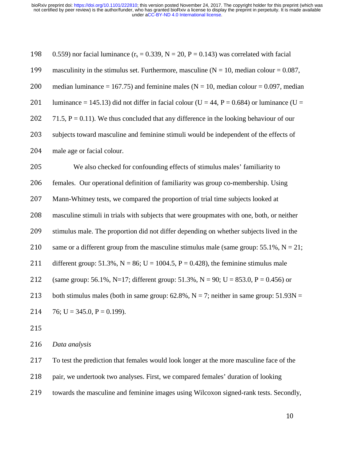| 198 | 0.559) nor facial luminance ( $r_s = 0.339$ , N = 20, P = 0.143) was correlated with facial   |
|-----|-----------------------------------------------------------------------------------------------|
| 199 | masculinity in the stimulus set. Furthermore, masculine $(N = 10$ , median colour = 0.087,    |
| 200 | median luminance = 167.75) and feminine males ( $N = 10$ , median colour = 0.097, median      |
| 201 | luminance = 145.13) did not differ in facial colour (U = 44, P = 0.684) or luminance (U =     |
| 202 | 71.5, $P = 0.11$ ). We thus concluded that any difference in the looking behaviour of our     |
| 203 | subjects toward masculine and feminine stimuli would be independent of the effects of         |
| 204 | male age or facial colour.                                                                    |
| 205 | We also checked for confounding effects of stimulus males' familiarity to                     |
| 206 | females. Our operational definition of familiarity was group co-membership. Using             |
| 207 | Mann-Whitney tests, we compared the proportion of trial time subjects looked at               |
| 208 | masculine stimuli in trials with subjects that were groupmates with one, both, or neither     |
| 209 | stimulus male. The proportion did not differ depending on whether subjects lived in the       |
| 210 | same or a different group from the masculine stimulus male (same group: $55.1\%$ , $N = 21$ ; |
| 211 | different group: 51.3%, $N = 86$ ; $U = 1004.5$ , $P = 0.428$ ), the feminine stimulus male   |
|     |                                                                                               |

212 (same group: 56.1%, N=17; different group: 51.3%, N = 90; U = 853.0, P = 0.456) or

213 both stimulus males (both in same group:  $62.8\%$ , N = 7; neither in same group:  $51.93N =$ 

214 ; U = 345.0, P = 0.199).

*Data analysis* 

217 To test the prediction that females would look longer at the more masculine face of the

- 218 pair, we undertook two analyses. First, we compared females' duration of looking
- 219 towards the masculine and feminine images using Wilcoxon signed-rank tests. Secondly,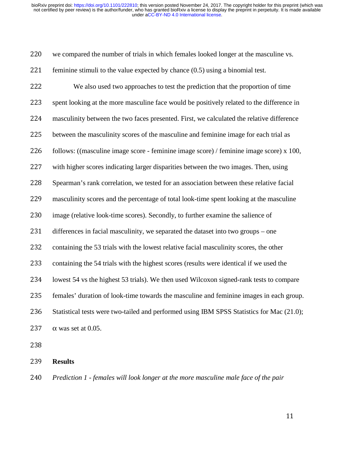220 we compared the number of trials in which females looked longer at the masculine vs.

221 feminine stimuli to the value expected by chance  $(0.5)$  using a binomial test.

<sup>222</sup>We also used two approaches to test the prediction that the proportion of time 223 spent looking at the more masculine face would be positively related to the difference in 224 masculinity between the two faces presented. First, we calculated the relative difference 225 between the masculinity scores of the masculine and feminine image for each trial as 226 follows: ((masculine image score - feminine image score) / feminine image score)  $x$  100, 227 with higher scores indicating larger disparities between the two images. Then, using 228 Spearman's rank correlation, we tested for an association between these relative facial 229 masculinity scores and the percentage of total look-time spent looking at the masculine 230 image (relative look-time scores). Secondly, to further examine the salience of 231 differences in facial masculinity, we separated the dataset into two groups – one 232 containing the 53 trials with the lowest relative facial masculinity scores, the other 233 containing the 54 trials with the highest scores (results were identical if we used the 234 lowest 54 vs the highest 53 trials). We then used Wilcoxon signed-rank tests to compare 235 females' duration of look-time towards the masculine and feminine images in each group. 236 Statistical tests were two-tailed and performed using IBM SPSS Statistics for Mac (21.0); 237  $\alpha$  was set at 0.05.

238

#### <sup>239</sup>**Results**

<sup>240</sup>*Prediction 1 - females will look longer at the more masculine male face of the pair*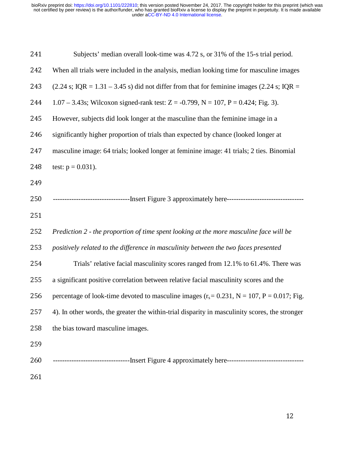| 241 | Subjects' median overall look-time was 4.72 s, or 31% of the 15-s trial period.                                                              |  |  |  |  |  |  |  |  |
|-----|----------------------------------------------------------------------------------------------------------------------------------------------|--|--|--|--|--|--|--|--|
| 242 | When all trials were included in the analysis, median looking time for masculine images                                                      |  |  |  |  |  |  |  |  |
| 243 | $(2.24 \text{ s}; IQR = 1.31 - 3.45 \text{ s})$ did not differ from that for feminine images $(2.24 \text{ s}; IQR = 1.31 - 3.45 \text{ s})$ |  |  |  |  |  |  |  |  |
| 244 | $1.07 - 3.43$ s; Wilcoxon signed-rank test: $Z = -0.799$ , $N = 107$ , $P = 0.424$ ; Fig. 3).                                                |  |  |  |  |  |  |  |  |
| 245 | However, subjects did look longer at the masculine than the feminine image in a                                                              |  |  |  |  |  |  |  |  |
| 246 | significantly higher proportion of trials than expected by chance (looked longer at                                                          |  |  |  |  |  |  |  |  |
| 247 | masculine image: 64 trials; looked longer at feminine image: 41 trials; 2 ties. Binomial                                                     |  |  |  |  |  |  |  |  |
| 248 | test: $p = 0.031$ ).                                                                                                                         |  |  |  |  |  |  |  |  |
| 249 |                                                                                                                                              |  |  |  |  |  |  |  |  |
| 250 | ----------------------------------Insert Figure 3 approximately here------------------------------                                           |  |  |  |  |  |  |  |  |
| 251 |                                                                                                                                              |  |  |  |  |  |  |  |  |
| 252 | Prediction 2 - the proportion of time spent looking at the more masculine face will be                                                       |  |  |  |  |  |  |  |  |
| 253 | positively related to the difference in masculinity between the two faces presented                                                          |  |  |  |  |  |  |  |  |
| 254 | Trials' relative facial masculinity scores ranged from 12.1% to 61.4%. There was                                                             |  |  |  |  |  |  |  |  |
| 255 | a significant positive correlation between relative facial masculinity scores and the                                                        |  |  |  |  |  |  |  |  |
| 256 | percentage of look-time devoted to masculine images ( $r_s$ = 0.231, N = 107, P = 0.017; Fig.                                                |  |  |  |  |  |  |  |  |
| 257 | 4). In other words, the greater the within-trial disparity in masculinity scores, the stronger                                               |  |  |  |  |  |  |  |  |
| 258 | the bias toward masculine images.                                                                                                            |  |  |  |  |  |  |  |  |
| 259 |                                                                                                                                              |  |  |  |  |  |  |  |  |
| 260 | ------------------------------------Insert Figure 4 approximately here----------------------------------                                     |  |  |  |  |  |  |  |  |
| 261 |                                                                                                                                              |  |  |  |  |  |  |  |  |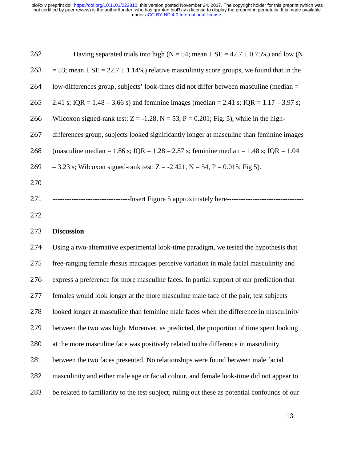| 262 | Having separated trials into high ( $N = 54$ ; mean $\pm$ SE = 42.7 $\pm$ 0.75%) and low (N         |  |  |  |  |  |  |  |  |
|-----|-----------------------------------------------------------------------------------------------------|--|--|--|--|--|--|--|--|
| 263 | $=$ 53; mean $\pm$ SE = 22.7 $\pm$ 1.14%) relative masculinity score groups, we found that in the   |  |  |  |  |  |  |  |  |
| 264 | low-differences group, subjects' look-times did not differ between masculine (median =              |  |  |  |  |  |  |  |  |
| 265 | 2.41 s; IQR = $1.48 - 3.66$ s) and feminine images (median = $2.41$ s; IQR = $1.17 - 3.97$ s;       |  |  |  |  |  |  |  |  |
| 266 | Wilcoxon signed-rank test: $Z = -1.28$ , $N = 53$ , $P = 0.201$ ; Fig. 5), while in the high-       |  |  |  |  |  |  |  |  |
| 267 | differences group, subjects looked significantly longer at masculine than feminine images           |  |  |  |  |  |  |  |  |
| 268 | (masculine median = 1.86 s; IQR = 1.28 – 2.87 s; feminine median = 1.48 s; IQR = 1.04               |  |  |  |  |  |  |  |  |
| 269 | $-3.23$ s; Wilcoxon signed-rank test: Z = -2.421, N = 54, P = 0.015; Fig 5).                        |  |  |  |  |  |  |  |  |
| 270 |                                                                                                     |  |  |  |  |  |  |  |  |
| 271 | ------------------------------------Insert Figure 5 approximately here----------------------------- |  |  |  |  |  |  |  |  |
| 272 |                                                                                                     |  |  |  |  |  |  |  |  |
|     |                                                                                                     |  |  |  |  |  |  |  |  |
| 273 | <b>Discussion</b>                                                                                   |  |  |  |  |  |  |  |  |
| 274 | Using a two-alternative experimental look-time paradigm, we tested the hypothesis that              |  |  |  |  |  |  |  |  |
| 275 | free-ranging female rhesus macaques perceive variation in male facial masculinity and               |  |  |  |  |  |  |  |  |
| 276 | express a preference for more masculine faces. In partial support of our prediction that            |  |  |  |  |  |  |  |  |
| 277 | females would look longer at the more masculine male face of the pair, test subjects                |  |  |  |  |  |  |  |  |
| 278 | looked longer at masculine than feminine male faces when the difference in masculinity              |  |  |  |  |  |  |  |  |
| 279 | between the two was high. Moreover, as predicted, the proportion of time spent looking              |  |  |  |  |  |  |  |  |
| 280 | at the more masculine face was positively related to the difference in masculinity                  |  |  |  |  |  |  |  |  |
| 281 | between the two faces presented. No relationships were found between male facial                    |  |  |  |  |  |  |  |  |
| 282 | masculinity and either male age or facial colour, and female look-time did not appear to            |  |  |  |  |  |  |  |  |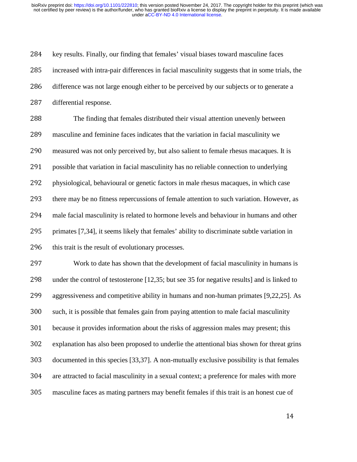284 key results. Finally, our finding that females' visual biases toward masculine faces 285 increased with intra-pair differences in facial masculinity suggests that in some trials, the 286 difference was not large enough either to be perceived by our subjects or to generate a 287 differential response.

<sup>288</sup>The finding that females distributed their visual attention unevenly between 289 masculine and feminine faces indicates that the variation in facial masculinity we 290 measured was not only perceived by, but also salient to female rhesus macaques. It is 291 possible that variation in facial masculinity has no reliable connection to underlying 292 physiological, behavioural or genetic factors in male rhesus macaques, in which case 293 there may be no fitness repercussions of female attention to such variation. However, as 294 male facial masculinity is related to hormone levels and behaviour in humans and other 295 primates [7,34], it seems likely that females' ability to discriminate subtle variation in 296 this trait is the result of evolutionary processes.

297 Work to date has shown that the development of facial masculinity in humans is 298 under the control of testosterone [12,35; but see 35 for negative results] and is linked to 299 aggressiveness and competitive ability in humans and non-human primates [9,22,25]. As 300 such, it is possible that females gain from paying attention to male facial masculinity 301 because it provides information about the risks of aggression males may present; this 302 explanation has also been proposed to underlie the attentional bias shown for threat grins 303 documented in this species [33,37]. A non-mutually exclusive possibility is that females 304 are attracted to facial masculinity in a sexual context; a preference for males with more 305 masculine faces as mating partners may benefit females if this trait is an honest cue of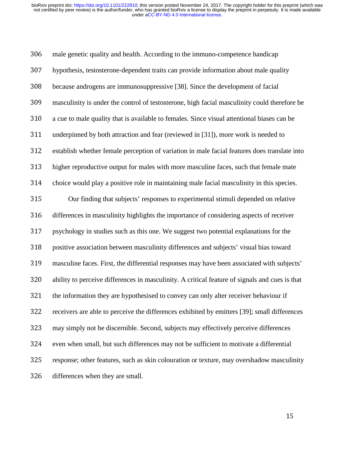306 male genetic quality and health. According to the immuno-competence handicap 307 hypothesis, testosterone-dependent traits can provide information about male quality <sup>308</sup>because androgens are immunosuppressive [38]. Since the development of facial 309 masculinity is under the control of testosterone, high facial masculinity could therefore be 310 a cue to male quality that is available to females. Since visual attentional biases can be 311 underpinned by both attraction and fear (reviewed in [31]), more work is needed to 312 establish whether female perception of variation in male facial features does translate into 313 higher reproductive output for males with more masculine faces, such that female mate 314 choice would play a positive role in maintaining male facial masculinity in this species. 315 Our finding that subjects' responses to experimental stimuli depended on relative 316 differences in masculinity highlights the importance of considering aspects of receiver 317 psychology in studies such as this one. We suggest two potential explanations for the 318 positive association between masculinity differences and subjects' visual bias toward 319 masculine faces. First, the differential responses may have been associated with subjects' 320 ability to perceive differences in masculinity. A critical feature of signals and cues is that 321 the information they are hypothesised to convey can only alter receiver behaviour if 322 receivers are able to perceive the differences exhibited by emitters [39]; small differences 323 may simply not be discernible. Second, subjects may effectively perceive differences 324 even when small, but such differences may not be sufficient to motivate a differential 325 response; other features, such as skin colouration or texture, may overshadow masculinity 326 differences when they are small.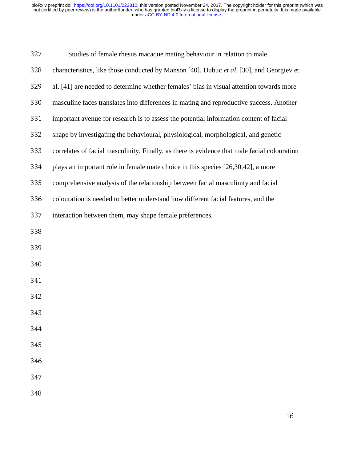| 327 | Studies of female rhesus macaque mating behaviour in relation to male                        |
|-----|----------------------------------------------------------------------------------------------|
| 328 | characteristics, like those conducted by Manson [40], Dubuc et al. [30], and Georgiev et     |
| 329 | al. [41] are needed to determine whether females' bias in visual attention towards more      |
| 330 | masculine faces translates into differences in mating and reproductive success. Another      |
| 331 | important avenue for research is to assess the potential information content of facial       |
| 332 | shape by investigating the behavioural, physiological, morphological, and genetic            |
| 333 | correlates of facial masculinity. Finally, as there is evidence that male facial colouration |
| 334 | plays an important role in female mate choice in this species [26,30,42], a more             |
| 335 | comprehensive analysis of the relationship between facial masculinity and facial             |
| 336 | colouration is needed to better understand how different facial features, and the            |
| 337 | interaction between them, may shape female preferences.                                      |
| 338 |                                                                                              |
| 339 |                                                                                              |
| 340 |                                                                                              |
| 341 |                                                                                              |
| 342 |                                                                                              |
| 343 |                                                                                              |
| 344 |                                                                                              |
| 345 |                                                                                              |
| 346 |                                                                                              |
| 347 |                                                                                              |
| 348 |                                                                                              |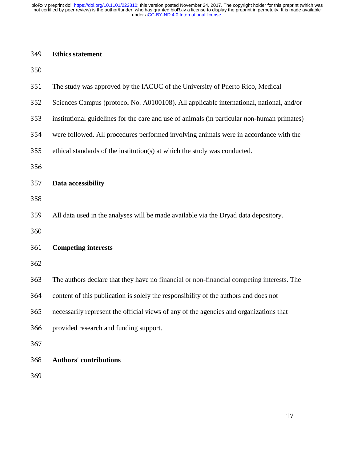#### <sup>349</sup>**Ethics statement**

350

| 351 |  |  |  | The study was approved by the IACUC of the University of Puerto Rico, Medical |  |  |
|-----|--|--|--|-------------------------------------------------------------------------------|--|--|
|     |  |  |  |                                                                               |  |  |

- 352 Sciences Campus (protocol No. A0100108). All applicable international, national, and/or
- 353 institutional guidelines for the care and use of animals (in particular non-human primates)
- 354 were followed. All procedures performed involving animals were in accordance with the
- $355$  ethical standards of the institution(s) at which the study was conducted.
- 356

# <sup>357</sup>**Data accessibility**

- 358
- <sup>359</sup>All data used in the analyses will be made available via the Dryad data depository.
- 360

# <sup>361</sup>**Competing interests**

362

363 The authors declare that they have no financial or non-financial competing interests. The

- 364 content of this publication is solely the responsibility of the authors and does not
- 365 necessarily represent the official views of any of the agencies and organizations that
- 366 provided research and funding support.

367

<sup>368</sup>**Authors' contributions**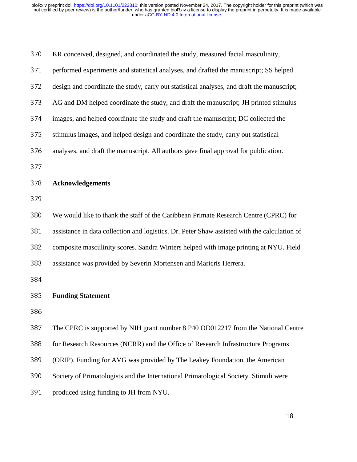| 370 | KR conceived, designed, and coordinated the study, measured facial masculinity,              |
|-----|----------------------------------------------------------------------------------------------|
| 371 | performed experiments and statistical analyses, and drafted the manuscript; SS helped        |
| 372 | design and coordinate the study, carry out statistical analyses, and draft the manuscript;   |
| 373 | AG and DM helped coordinate the study, and draft the manuscript; JH printed stimulus         |
| 374 | images, and helped coordinate the study and draft the manuscript; DC collected the           |
| 375 | stimulus images, and helped design and coordinate the study, carry out statistical           |
| 376 | analyses, and draft the manuscript. All authors gave final approval for publication.         |
| 377 |                                                                                              |
| 378 | <b>Acknowledgements</b>                                                                      |
| 379 |                                                                                              |
| 380 | We would like to thank the staff of the Caribbean Primate Research Centre (CPRC) for         |
| 381 | assistance in data collection and logistics. Dr. Peter Shaw assisted with the calculation of |
| 382 | composite masculinity scores. Sandra Winters helped with image printing at NYU. Field        |
| 383 | assistance was provided by Severin Mortensen and Maricris Herrera.                           |
| 384 |                                                                                              |
| 385 | <b>Funding Statement</b>                                                                     |
| 386 |                                                                                              |
| 387 | The CPRC is supported by NIH grant number 8 P40 OD012217 from the National Centre            |
| 388 | for Research Resources (NCRR) and the Office of Research Infrastructure Programs             |
| 389 | (ORIP). Funding for AVG was provided by The Leakey Foundation, the American                  |
| 390 | Society of Primatologists and the International Primatological Society. Stimuli were         |
| 391 | produced using funding to JH from NYU.                                                       |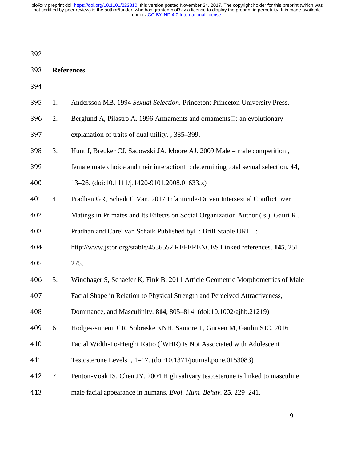| 392 |                   |                                                                                           |
|-----|-------------------|-------------------------------------------------------------------------------------------|
| 393 | <b>References</b> |                                                                                           |
| 394 |                   |                                                                                           |
| 395 | 1.                | Andersson MB. 1994 Sexual Selection. Princeton: Princeton University Press.               |
| 396 | 2.                | Berglund A, Pilastro A. 1996 Armaments and ornaments□: an evolutionary                    |
| 397 |                   | explanation of traits of dual utility., 385–399.                                          |
| 398 | 3.                | Hunt J, Breuker CJ, Sadowski JA, Moore AJ. 2009 Male – male competition,                  |
| 399 |                   | female mate choice and their interaction $\Box$ : determining total sexual selection. 44, |
| 400 |                   | 13-26. (doi:10.1111/j.1420-9101.2008.01633.x)                                             |
| 401 | 4.                | Pradhan GR, Schaik C Van. 2017 Infanticide-Driven Intersexual Conflict over               |
| 402 |                   | Matings in Primates and Its Effects on Social Organization Author (s): Gauri R.           |
| 403 |                   | Pradhan and Carel van Schaik Published by□: Brill Stable URL□:                            |
| 404 |                   | http://www.jstor.org/stable/4536552 REFERENCES Linked references. 145, 251-               |
| 405 |                   | 275.                                                                                      |
| 406 | 5.                | Windhager S, Schaefer K, Fink B. 2011 Article Geometric Morphometrics of Male             |
| 407 |                   | Facial Shape in Relation to Physical Strength and Perceived Attractiveness,               |
| 408 |                   | Dominance, and Masculinity. 814, 805–814. (doi:10.1002/ajhb.21219)                        |
| 409 | 6.                | Hodges-simeon CR, Sobraske KNH, Samore T, Gurven M, Gaulin SJC. 2016                      |
| 410 |                   | Facial Width-To-Height Ratio (fWHR) Is Not Associated with Adolescent                     |
| 411 |                   | Testosterone Levels., 1–17. (doi:10.1371/journal.pone.0153083)                            |
| 412 | 7.                | Penton-Voak IS, Chen JY. 2004 High salivary testosterone is linked to masculine           |
| 413 |                   | male facial appearance in humans. Evol. Hum. Behav. 25, 229–241.                          |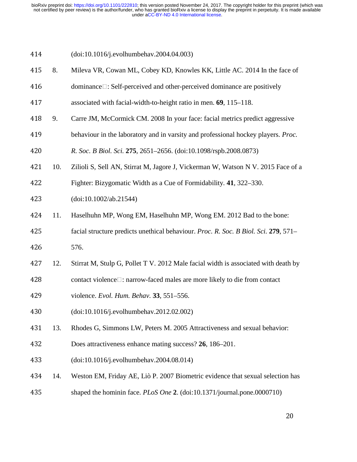| 414 | $(doi:10.1016/j.evolhumbehav.2004.04.003)$ |
|-----|--------------------------------------------|
|     |                                            |

- 415 8. Mileva VR, Cowan ML, Cobey KD, Knowles KK, Little AC. 2014 In the face of
- $416$  dominance  $\Box$ : Self-perceived and other-perceived dominance are positively
- <sup>417</sup>associated with facial-width-to-height ratio in men. **69**, 115–118.
- 418 9. Carre JM, McCormick CM. 2008 In your face: facial metrics predict aggressive
- <sup>419</sup>behaviour in the laboratory and in varsity and professional hockey players. *Proc.*
- <sup>420</sup>*R. Soc. B Biol. Sci.* **<sup>275</sup>**, 2651–2656. (doi:10.1098/rspb.2008.0873)
- 421 10. Zilioli S, Sell AN, Stirrat M, Jagore J, Vickerman W, Watson N V. 2015 Face of a
- <sup>422</sup>Fighter: Bizygomatic Width as a Cue of Formidability. **41**, 322–330.
- <sup>423</sup>(doi:10.1002/ab.21544)
- 424 11. Haselhuhn MP, Wong EM, Haselhuhn MP, Wong EM. 2012 Bad to the bone:
- <sup>425</sup>facial structure predicts unethical behaviour. *Proc. R. Soc. B Biol. Sci.* **<sup>279</sup>**, 571– 426 576.
- 
- 427 12. Stirrat M, Stulp G, Pollet T V. 2012 Male facial width is associated with death by
- 428 contact violence□: narrow-faced males are more likely to die from contact
- <sup>429</sup>violence. *Evol. Hum. Behav.* **<sup>33</sup>**, 551–556.
- <sup>430</sup>(doi:10.1016/j.evolhumbehav.2012.02.002)
- 431 13. Rhodes G, Simmons LW, Peters M. 2005 Attractiveness and sexual behavior:
- <sup>432</sup>Does attractiveness enhance mating success? **26**, 186–201.
- <sup>433</sup>(doi:10.1016/j.evolhumbehav.2004.08.014)
- 434 14. Weston EM, Friday AE, Liò P. 2007 Biometric evidence that sexual selection has <sup>435</sup>shaped the hominin face. *PLoS One* **<sup>2</sup>**. (doi:10.1371/journal.pone.0000710)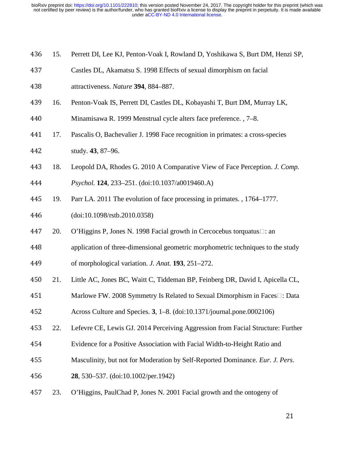- 436 15. Perrett DI, Lee KJ, Penton-Voak I, Rowland D, Yoshikawa S, Burt DM, Henzi SP,
- 437 Castles DL, Akamatsu S. 1998 Effects of sexual dimorphism on facial
- <sup>438</sup>attractiveness. *Nature* **<sup>394</sup>**, 884–887.
- <sup>439</sup>16. Penton-Voak IS, Perrett DI, Castles DL, Kobayashi T, Burt DM, Murray LK,
- <sup>440</sup>Minamisawa R. 1999 Menstrual cycle alters face preference. , 7–8.
- 441 17. Pascalis O, Bachevalier J. 1998 Face recognition in primates: a cross-species <sup>442</sup>study. **43**, 87–96.
- <sup>443</sup>18. Leopold DA, Rhodes G. 2010 A Comparative View of Face Perception. *J. Comp.*
- <sup>444</sup>*Psychol.* **<sup>124</sup>**, 233–251. (doi:10.1037/a0019460.A)
- 445 19. Parr LA. 2011 The evolution of face processing in primates., 1764–1777.
- <sup>446</sup>(doi:10.1098/rstb.2010.0358)
- 447 20. O'Higgins P, Jones N. 1998 Facial growth in Cercocebus torquatus $\Box$ : an
- 448 application of three-dimensional geometric morphometric techniques to the study
- <sup>449</sup>of morphological variation. *J. Anat.* **<sup>193</sup>**, 251–272.
- 450 21. Little AC, Jones BC, Waitt C, Tiddeman BP, Feinberg DR, David I, Apicella CL,
- 451 Marlowe FW. 2008 Symmetry Is Related to Sexual Dimorphism in Faces□: Data
- <sup>452</sup>Across Culture and Species. **3**, 1–8. (doi:10.1371/journal.pone.0002106)
- <sup>453</sup>22. Lefevre CE, Lewis GJ. 2014 Perceiving Aggression from Facial Structure: Further
- <sup>454</sup>Evidence for a Positive Association with Facial Width-to-Height Ratio and
- <sup>455</sup>Masculinity, but not for Moderation by Self-Reported Dominance. *Eur. J. Pers.*
- <sup>456</sup>**28**, 530–537. (doi:10.1002/per.1942)
- 457 23. O'Higgins, PaulChad P, Jones N. 2001 Facial growth and the ontogeny of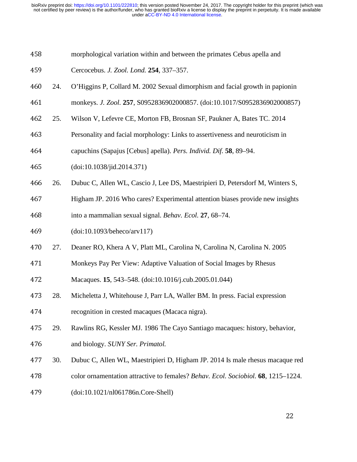| 458 | morphological variation within and between the primates Cebus apella and |  |  |  |  |  |
|-----|--------------------------------------------------------------------------|--|--|--|--|--|
|     |                                                                          |  |  |  |  |  |

- Cercocebus. *J. Zool. Lond.* **<sup>254</sup>**, 337–357.
- 24. O'Higgins P, Collard M. 2002 Sexual dimorphism and facial growth in papionin
- monkeys. *J. Zool.* **<sup>257</sup>**, S0952836902000857. (doi:10.1017/S0952836902000857)
- 25. Wilson V, Lefevre CE, Morton FB, Brosnan SF, Paukner A, Bates TC. 2014
- Personality and facial morphology: Links to assertiveness and neuroticism in
- capuchins (Sapajus [Cebus] apella). *Pers. Individ. Dif.* **<sup>58</sup>**, 89–94.
- (doi:10.1038/jid.2014.371)
- 26. Dubuc C, Allen WL, Cascio J, Lee DS, Maestripieri D, Petersdorf M, Winters S,
- 467 Higham JP. 2016 Who cares? Experimental attention biases provide new insights
- into a mammalian sexual signal. *Behav. Ecol.* **<sup>27</sup>**, 68–74.
- (doi:10.1093/beheco/arv117)
- 470 27. Deaner RO, Khera A V, Platt ML, Carolina N, Carolina N, Carolina N. 2005
- 471 Monkeys Pay Per View: Adaptive Valuation of Social Images by Rhesus
- Macaques. **15**, 543–548. (doi:10.1016/j.cub.2005.01.044)
- 473 28. Micheletta J, Whitehouse J, Parr LA, Waller BM. In press. Facial expression
- 474 recognition in crested macaques (Macaca nigra).
- 29. Rawlins RG, Kessler MJ. 1986 The Cayo Santiago macaques: history, behavior, and biology. *SUNY Ser. Primatol.*
- 30. Dubuc C, Allen WL, Maestripieri D, Higham JP. 2014 Is male rhesus macaque red
- color ornamentation attractive to females? *Behav. Ecol. Sociobiol.* **<sup>68</sup>**, 1215–1224.
- (doi:10.1021/nl061786n.Core-Shell)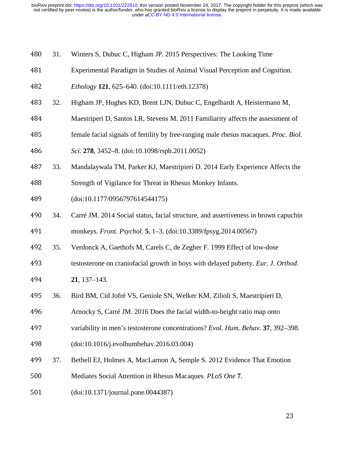|  | 480 31. Winters S, Dubuc C, Higham JP. 2015 Perspectives: The Looking Time |
|--|----------------------------------------------------------------------------|
|  |                                                                            |

- <sup>481</sup>Experimental Paradigm in Studies of Animal Visual Perception and Cognition.
- <sup>482</sup>*Ethology* **<sup>121</sup>**, 625–640. (doi:10.1111/eth.12378)
- <sup>483</sup>32. Higham JP, Hughes KD, Brent LJN, Dubuc C, Engelhardt A, Heistermann M,
- 484 Maestriperi D, Santos LR, Stevens M. 2011 Familiarity affects the assessment of
- <sup>485</sup>female facial signals of fertility by free-ranging male rhesus macaques. *Proc. Biol.*
- <sup>486</sup>*Sci.* **<sup>278</sup>**, 3452–8. (doi:10.1098/rspb.2011.0052)
- 487 33. Mandalaywala TM, Parker KJ, Maestripieri D. 2014 Early Experience Affects the
- 488 Strength of Vigilance for Threat in Rhesus Monkey Infants.
- <sup>489</sup>(doi:10.1177/0956797614544175)
- 490 34. Carré JM. 2014 Social status, facial structure, and assertiveness in brown capuchin

<sup>491</sup>monkeys. *Front. Psychol.* **<sup>5</sup>**, 1–3. (doi:10.3389/fpsyg.2014.00567)

- 492 35. Verdonck A, Gaethofs M, Carels C, de Zegher F. 1999 Effect of low-dose
- 493 testosterone on craniofacial growth in boys with delayed puberty. *Eur. J. Orthod.*
- <sup>494</sup>**21**, 137–143.
- <sup>495</sup>36. Bird BM, Cid Jofré VS, Geniole SN, Welker KM, Zilioli S, Maestripieri D,
- 496 Arnocky S, Carré JM. 2016 Does the facial width-to-height ratio map onto
- 497 variability in men's testosterone concentrations? *Evol. Hum. Behav.* **37**, 392–398.
- <sup>498</sup>(doi:10.1016/j.evolhumbehav.2016.03.004)
- 499 37. Bethell EJ, Holmes A, MacLarnon A, Semple S. 2012 Evidence That Emotion
- <sup>500</sup>Mediates Social Attention in Rhesus Macaques. *PLoS One* **<sup>7</sup>**.
- 501 (doi:10.1371/journal.pone.0044387)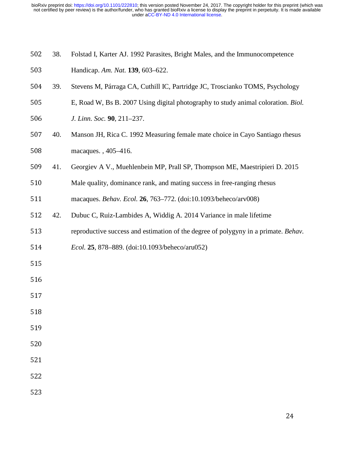| 502 | 38. | Folstad I, Karter AJ. 1992 Parasites, Bright Males, and the Immunocompetence       |
|-----|-----|------------------------------------------------------------------------------------|
| 503 |     | Handicap. Am. Nat. 139, 603-622.                                                   |
| 504 | 39. | Stevens M, Párraga CA, Cuthill IC, Partridge JC, Troscianko TOMS, Psychology       |
| 505 |     | E, Road W, Bs B. 2007 Using digital photography to study animal coloration. Biol.  |
| 506 |     | J. Linn. Soc. 90, 211-237.                                                         |
| 507 | 40. | Manson JH, Rica C. 1992 Measuring female mate choice in Cayo Santiago rhesus       |
| 508 |     | macaques., 405-416.                                                                |
| 509 | 41. | Georgiev A V., Muehlenbein MP, Prall SP, Thompson ME, Maestripieri D. 2015         |
| 510 |     | Male quality, dominance rank, and mating success in free-ranging rhesus            |
| 511 |     | macaques. Behav. Ecol. 26, 763-772. (doi:10.1093/beheco/arv008)                    |
| 512 | 42. | Dubuc C, Ruiz-Lambides A, Widdig A. 2014 Variance in male lifetime                 |
| 513 |     | reproductive success and estimation of the degree of polygyny in a primate. Behav. |
| 514 |     | Ecol. 25, 878-889. (doi:10.1093/beheco/aru052)                                     |
| 515 |     |                                                                                    |
| 516 |     |                                                                                    |
| 517 |     |                                                                                    |
| 518 |     |                                                                                    |
| 519 |     |                                                                                    |
| 520 |     |                                                                                    |
| 521 |     |                                                                                    |
| 522 |     |                                                                                    |
| 523 |     |                                                                                    |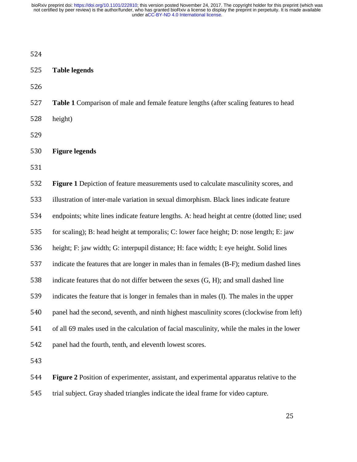| しムイ |                                                                                              |
|-----|----------------------------------------------------------------------------------------------|
| 525 | <b>Table legends</b>                                                                         |
| 526 |                                                                                              |
| 527 | Table 1 Comparison of male and female feature lengths (after scaling features to head        |
| 528 | height)                                                                                      |
| 529 |                                                                                              |
| 530 | <b>Figure legends</b>                                                                        |
| 531 |                                                                                              |
| 532 | Figure 1 Depiction of feature measurements used to calculate masculinity scores, and         |
| 533 | illustration of inter-male variation in sexual dimorphism. Black lines indicate feature      |
| 534 | endpoints; white lines indicate feature lengths. A: head height at centre (dotted line; used |
| 535 | for scaling); B: head height at temporalis; C: lower face height; D: nose length; E: jaw     |
| 536 | height; F: jaw width; G: interpupil distance; H: face width; I: eye height. Solid lines      |
| 537 | indicate the features that are longer in males than in females (B-F); medium dashed lines    |
| 538 | indicate features that do not differ between the sexes (G, H); and small dashed line         |
| 539 | indicates the feature that is longer in females than in males (I). The males in the upper    |
| 540 | panel had the second, seventh, and ninth highest masculinity scores (clockwise from left)    |
| 541 | of all 69 males used in the calculation of facial masculinity, while the males in the lower  |
| 542 | panel had the fourth, tenth, and eleventh lowest scores.                                     |
| 543 |                                                                                              |
| 544 | Figure 2 Position of experimenter, assistant, and experimental apparatus relative to the     |

545 trial subject. Gray shaded triangles indicate the ideal frame for video capture.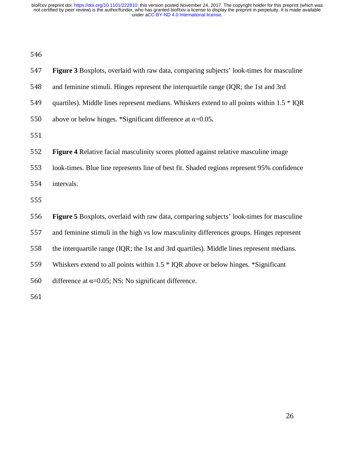| 547 | <b>Figure 3</b> Boxplots, overlaid with raw data, comparing subjects' look-times for masculine |
|-----|------------------------------------------------------------------------------------------------|
| 548 | and feminine stimuli. Hinges represent the interquartile range (IQR; the 1st and 3rd           |
| 549 | quartiles). Middle lines represent medians. Whiskers extend to all points within 1.5 * IQR     |
| 550 | above or below hinges. *Significant difference at $\alpha$ =0.05.                              |
| 551 |                                                                                                |
| 552 | Figure 4 Relative facial masculinity scores plotted against relative masculine image           |
| 553 | look-times. Blue line represents line of best fit. Shaded regions represent 95% confidence     |
| 554 | intervals.                                                                                     |
| 555 |                                                                                                |
| 556 | <b>Figure 5</b> Boxplots, overlaid with raw data, comparing subjects' look-times for masculine |
| 557 | and feminine stimuli in the high vs low masculinity differences groups. Hinges represent       |
| 558 | the interquartile range (IQR; the 1st and 3rd quartiles). Middle lines represent medians.      |
| 559 | Whiskers extend to all points within $1.5 * IQR$ above or below hinges. *Significant           |
| 560 | difference at $\alpha$ =0.05; NS: No significant difference.                                   |
| 561 |                                                                                                |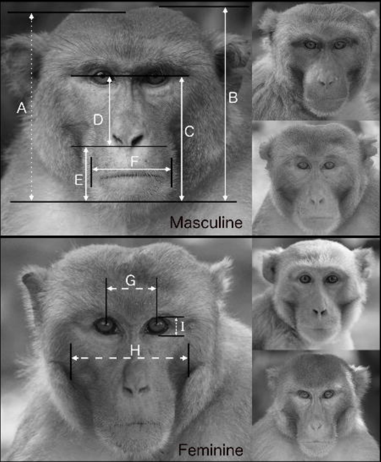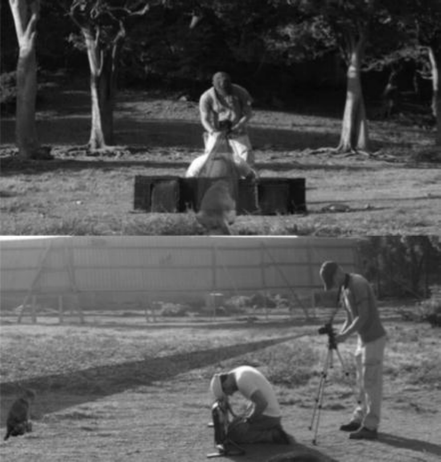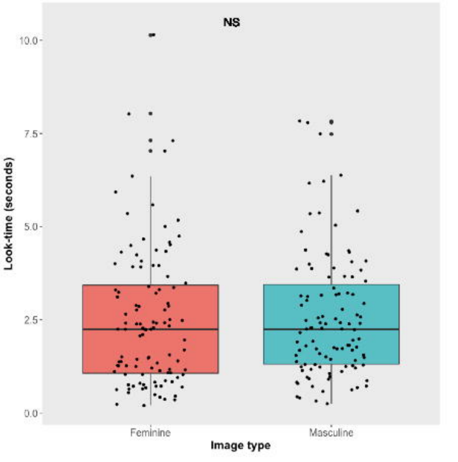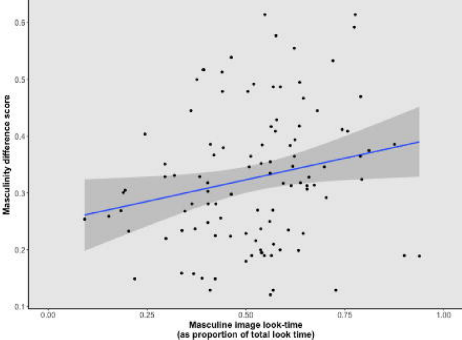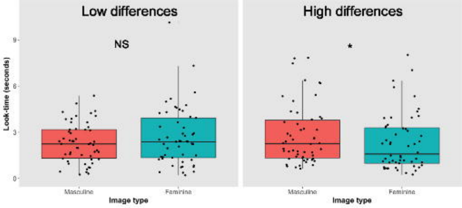